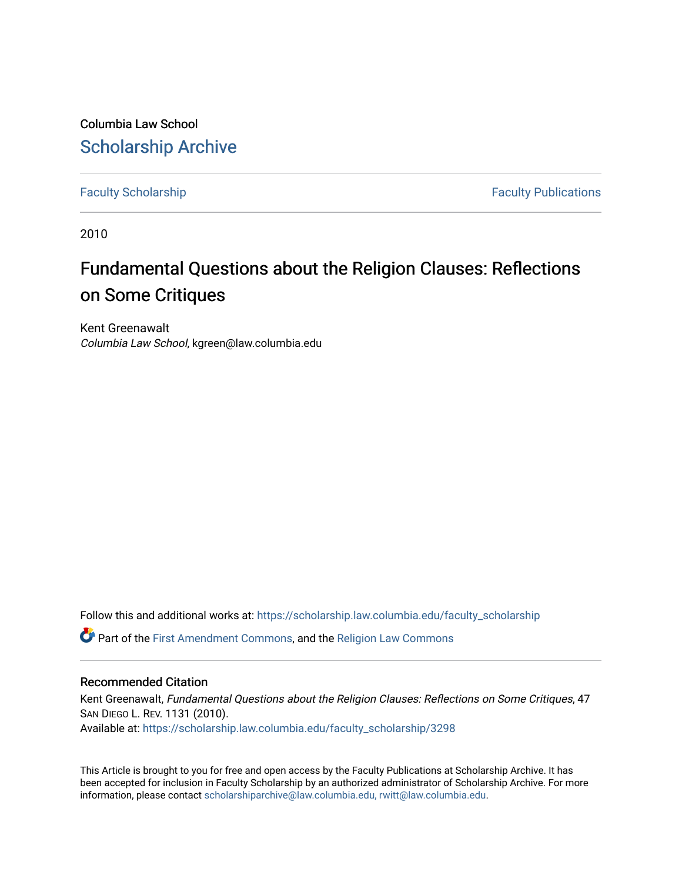Columbia Law School [Scholarship Archive](https://scholarship.law.columbia.edu/) 

[Faculty Scholarship](https://scholarship.law.columbia.edu/faculty_scholarship) **Faculty Scholarship Faculty Publications** 

2010

## Fundamental Questions about the Religion Clauses: Reflections on Some Critiques

Kent Greenawalt Columbia Law School, kgreen@law.columbia.edu

Follow this and additional works at: [https://scholarship.law.columbia.edu/faculty\\_scholarship](https://scholarship.law.columbia.edu/faculty_scholarship?utm_source=scholarship.law.columbia.edu%2Ffaculty_scholarship%2F3298&utm_medium=PDF&utm_campaign=PDFCoverPages)

Part of the [First Amendment Commons,](http://network.bepress.com/hgg/discipline/1115?utm_source=scholarship.law.columbia.edu%2Ffaculty_scholarship%2F3298&utm_medium=PDF&utm_campaign=PDFCoverPages) and the [Religion Law Commons](http://network.bepress.com/hgg/discipline/872?utm_source=scholarship.law.columbia.edu%2Ffaculty_scholarship%2F3298&utm_medium=PDF&utm_campaign=PDFCoverPages) 

## Recommended Citation

Kent Greenawalt, Fundamental Questions about the Religion Clauses: Reflections on Some Critiques, 47 SAN DIEGO L. REV. 1131 (2010). Available at: [https://scholarship.law.columbia.edu/faculty\\_scholarship/3298](https://scholarship.law.columbia.edu/faculty_scholarship/3298?utm_source=scholarship.law.columbia.edu%2Ffaculty_scholarship%2F3298&utm_medium=PDF&utm_campaign=PDFCoverPages)

This Article is brought to you for free and open access by the Faculty Publications at Scholarship Archive. It has been accepted for inclusion in Faculty Scholarship by an authorized administrator of Scholarship Archive. For more information, please contact [scholarshiparchive@law.columbia.edu, rwitt@law.columbia.edu](mailto:scholarshiparchive@law.columbia.edu,%20rwitt@law.columbia.edu).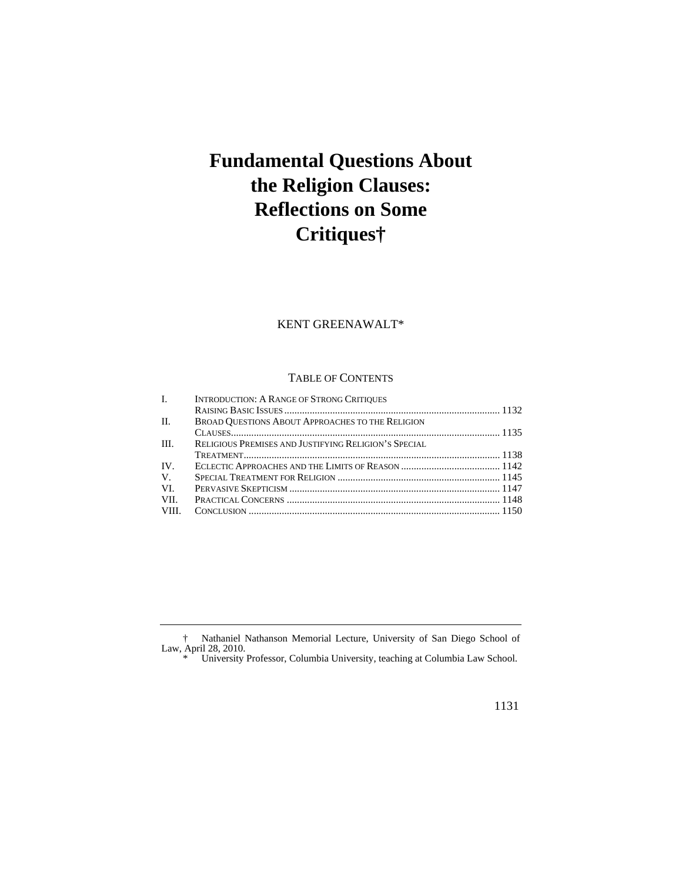# **Fundamental Questions About the Religion Clauses: Reflections on Some Critiques†**

## KENT GREENAWALT\*

#### TABLE OF CONTENTS

| $\mathbf{L}$ | <b>INTRODUCTION: A RANGE OF STRONG CRITIQUES</b>        |  |
|--------------|---------------------------------------------------------|--|
|              |                                                         |  |
| II.          | <b>BROAD OUESTIONS ABOUT APPROACHES TO THE RELIGION</b> |  |
|              |                                                         |  |
| HI.          | RELIGIOUS PREMISES AND JUSTIFYING RELIGION'S SPECIAL    |  |
|              |                                                         |  |
| $IV_{-}$     |                                                         |  |
| $V_{\cdot}$  |                                                         |  |
| VL.          |                                                         |  |
| VII.         |                                                         |  |
| VIII.        |                                                         |  |
|              |                                                         |  |

† Nathaniel Nathanson Memorial Lecture, University of San Diego School of Law, April 28, 2010.

\* University Professor, Columbia University, teaching at Columbia Law School.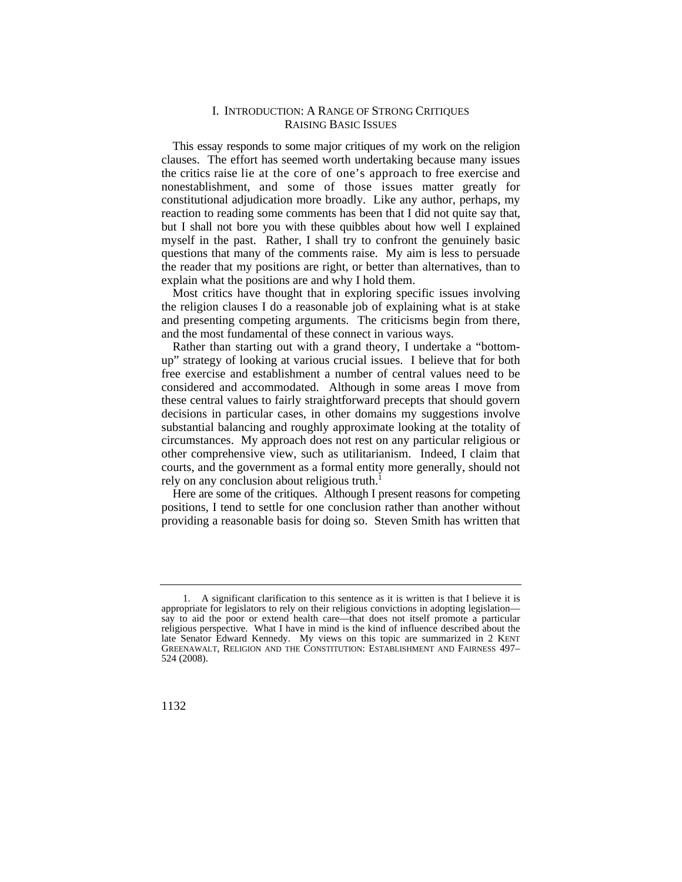#### I. INTRODUCTION: A RANGE OF STRONG CRITIQUES RAISING BASIC ISSUES

 the critics raise lie at the core of one's approach to free exercise and nonestablishment, and some of those issues matter greatly for This essay responds to some major critiques of my work on the religion clauses. The effort has seemed worth undertaking because many issues constitutional adjudication more broadly. Like any author, perhaps, my reaction to reading some comments has been that I did not quite say that, but I shall not bore you with these quibbles about how well I explained myself in the past. Rather, I shall try to confront the genuinely basic questions that many of the comments raise. My aim is less to persuade the reader that my positions are right, or better than alternatives, than to explain what the positions are and why I hold them.

Most critics have thought that in exploring specific issues involving the religion clauses I do a reasonable job of explaining what is at stake and presenting competing arguments. The criticisms begin from there, and the most fundamental of these connect in various ways.

Rather than starting out with a grand theory, I undertake a "bottomup" strategy of looking at various crucial issues. I believe that for both free exercise and establishment a number of central values need to be considered and accommodated. Although in some areas I move from these central values to fairly straightforward precepts that should govern decisions in particular cases, in other domains my suggestions involve substantial balancing and roughly approximate looking at the totality of circumstances. My approach does not rest on any particular religious or other comprehensive view, such as utilitarianism. Indeed, I claim that courts, and the government as a formal entity more generally, should not rely on any conclusion about religious truth.<sup>1</sup>

Here are some of the critiques. Although I present reasons for competing positions, I tend to settle for one conclusion rather than another without providing a reasonable basis for doing so. Steven Smith has written that

<sup>1.</sup> A significant clarification to this sentence as it is written is that I believe it is appropriate for legislators to rely on their religious convictions in adopting legislation say to aid the poor or extend health care—that does not itself promote a particular religious perspective. What I have in mind is the kind of influence described about the late Senator Edward Kennedy. My views on this topic are summarized in 2 KENT GREENAWALT, RELIGION AND THE CONSTITUTION: ESTABLISHMENT AND FAIRNESS 497– 524 (2008).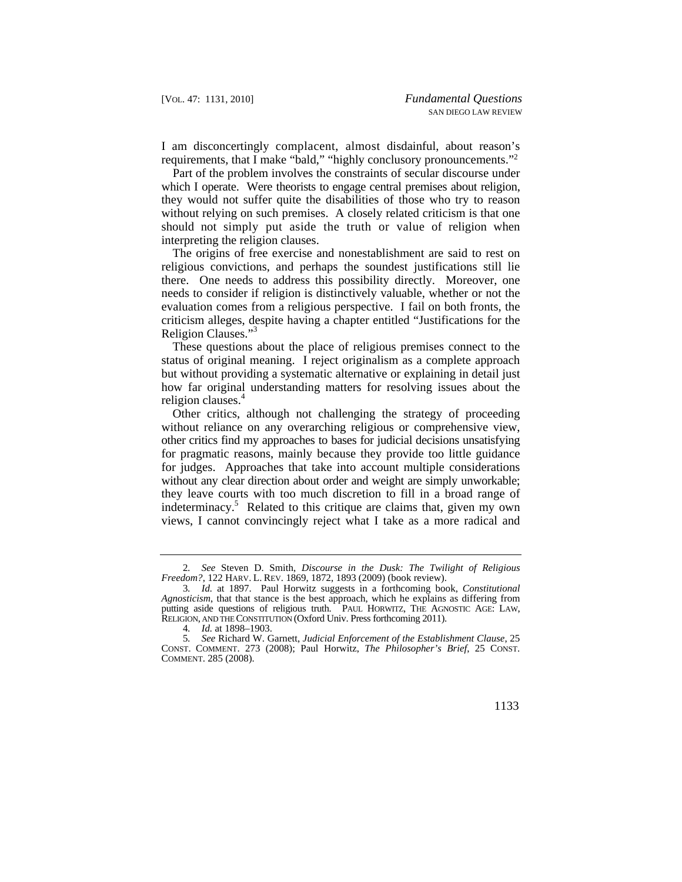I am disconcertingly complacent, almost disdainful, about reason's requirements, that I make "bald," "highly conclusory pronouncements."2

 should not simply put aside the truth or value of religion when Part of the problem involves the constraints of secular discourse under which I operate. Were theorists to engage central premises about religion, they would not suffer quite the disabilities of those who try to reason without relying on such premises. A closely related criticism is that one interpreting the religion clauses.

The origins of free exercise and nonestablishment are said to rest on religious convictions, and perhaps the soundest justifications still lie there. One needs to address this possibility directly. Moreover, one needs to consider if religion is distinctively valuable, whether or not the evaluation comes from a religious perspective. I fail on both fronts, the criticism alleges, despite having a chapter entitled "Justifications for the Religion Clauses."<sup>3</sup>

These questions about the place of religious premises connect to the status of original meaning. I reject originalism as a complete approach but without providing a systematic alternative or explaining in detail just how far original understanding matters for resolving issues about the religion clauses.<sup>4</sup>

Other critics, although not challenging the strategy of proceeding without reliance on any overarching religious or comprehensive view, other critics find my approaches to bases for judicial decisions unsatisfying for pragmatic reasons, mainly because they provide too little guidance for judges. Approaches that take into account multiple considerations without any clear direction about order and weight are simply unworkable; they leave courts with too much discretion to fill in a broad range of indeterminacy.<sup>5</sup> Related to this critique are claims that, given my own views, I cannot convincingly reject what I take as a more radical and

 *Freedom?*, 122 HARV. L. REV. 1869, 1872, 1893 (2009) (book review). 2*. See* Steven D. Smith, *Discourse in the Dusk: The Twilight of Religious* 

 putting aside questions of religious truth. PAUL HORWITZ, THE AGNOSTIC AGE: LAW, 3*. Id.* at 1897. Paul Horwitz suggests in a forthcoming book, *Constitutional Agnosticism*, that that stance is the best approach, which he explains as differing from RELIGION, AND THE CONSTITUTION (Oxford Univ. Press forthcoming 2011).

<sup>4</sup>*. Id.* at 1898–1903.

<sup>5</sup>*. See* Richard W. Garnett, *Judicial Enforcement of the Establishment Clause*, 25 CONST. COMMENT. 273 (2008); Paul Horwitz, *The Philosopher's Brief*, 25 CONST. COMMENT. 285 (2008).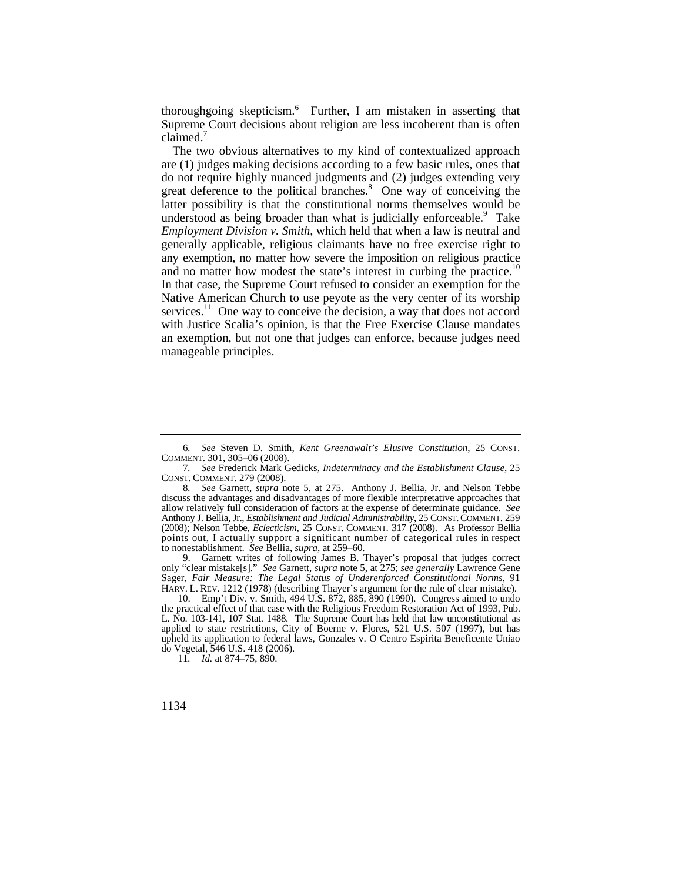thoroughgoing skepticism.6 Further, I am mistaken in asserting that Supreme Court decisions about religion are less incoherent than is often claimed.<sup>7</sup>

and no matter how modest the state's interest in curbing the [practice.](https://practice.10)<sup>10</sup> The two obvious alternatives to my kind of contextualized approach are (1) judges making decisions according to a few basic rules, ones that do not require highly nuanced judgments and (2) judges extending very great deference to the political branches.<sup>8</sup> One way of conceiving the latter possibility is that the constitutional norms themselves would be understood as being broader than what is judicially enforceable.<sup>9</sup> Take *Employment Division v. Smith*, which held that when a law is neutral and generally applicable, religious claimants have no free exercise right to any exemption, no matter how severe the imposition on religious practice In that case, the Supreme Court refused to consider an exemption for the Native American Church to use peyote as the very center of its worship [services.](https://services.11)<sup>11</sup> One way to conceive the decision, a way that does not accord with Justice Scalia's opinion, is that the Free Exercise Clause mandates an exemption, but not one that judges can enforce, because judges need manageable principles.

 HARV. L. REV. 1212 (1978) (describing Thayer's argument for the rule of clear mistake). 9. Garnett writes of following James B. Thayer's proposal that judges correct only "clear mistake[s]." *See* Garnett, *supra* note 5, at 275; *see generally* Lawrence Gene Sager, *Fair Measure: The Legal Status of Underenforced Constitutional Norms*, 91

10. Emp't Div. v. Smith, 494 U.S. 872, 885, 890 (1990). Congress aimed to undo the practical effect of that case with the Religious Freedom Restoration Act of 1993, Pub. L. No. 103-141, 107 Stat. 1488. The Supreme Court has held that law unconstitutional as applied to state restrictions, City of Boerne v. Flores, 521 U.S. 507 (1997), but has upheld its application to federal laws, Gonzales v. O Centro Espirita Beneficente Uniao do Vegetal, 546 U.S. 418 (2006).

11*. Id.* at 874–75, 890.

<sup>6</sup>*. See* Steven D. Smith, *Kent Greenawalt's Elusive Constitution*, 25 CONST. COMMENT. 301, 305–06 (2008).

<sup>7</sup>*. See* Frederick Mark Gedicks, *Indeterminacy and the Establishment Clause*, 25 CONST. COMMENT. 279 (2008).

 Anthony J. Bellia, Jr., *Establishment and Judicial Administrability*, 25 CONST. COMMENT. 259 points out, I actually support a significant number of categorical rules in respect 8*. See* Garnett, *supra* note 5, at 275. Anthony J. Bellia, Jr. and Nelson Tebbe discuss the advantages and disadvantages of more flexible interpretative approaches that allow relatively full consideration of factors at the expense of determinate guidance. *See*  (2008); Nelson Tebbe, *Eclecticism*, 25 CONST. COMMENT. 317 (2008). As Professor Bellia to nonestablishment. *See* Bellia, *supra*, at 259–60.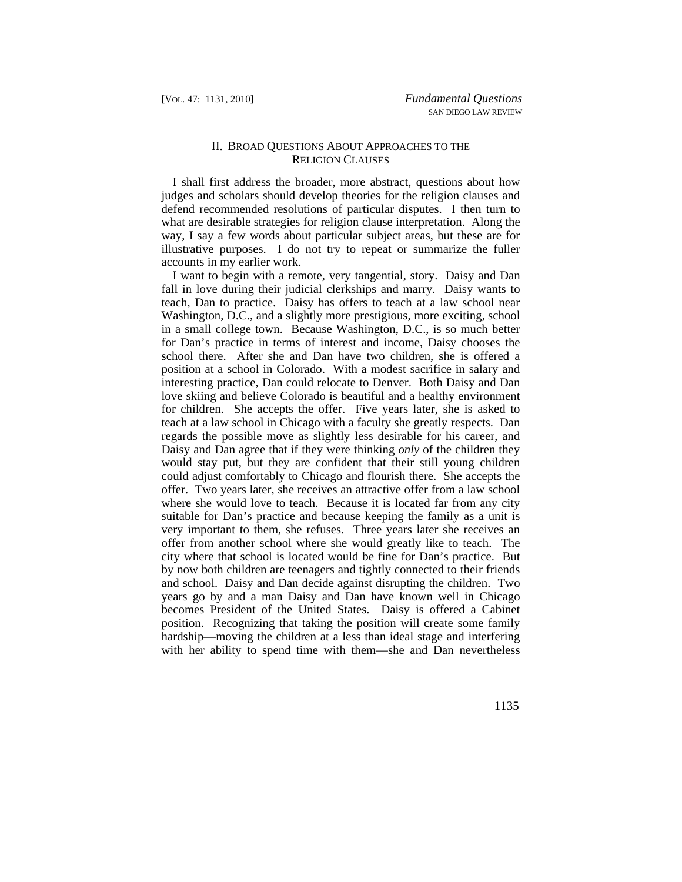### II. BROAD QUESTIONS ABOUT APPROACHES TO THE RELIGION CLAUSES

I shall first address the broader, more abstract, questions about how judges and scholars should develop theories for the religion clauses and defend recommended resolutions of particular disputes. I then turn to what are desirable strategies for religion clause interpretation. Along the way, I say a few words about particular subject areas, but these are for illustrative purposes. I do not try to repeat or summarize the fuller accounts in my earlier work.

 and school. Daisy and Dan decide against disrupting the children. Two I want to begin with a remote, very tangential, story. Daisy and Dan fall in love during their judicial clerkships and marry. Daisy wants to teach, Dan to practice. Daisy has offers to teach at a law school near Washington, D.C., and a slightly more prestigious, more exciting, school in a small college town. Because Washington, D.C., is so much better for Dan's practice in terms of interest and income, Daisy chooses the school there. After she and Dan have two children, she is offered a position at a school in Colorado. With a modest sacrifice in salary and interesting practice, Dan could relocate to Denver. Both Daisy and Dan love skiing and believe Colorado is beautiful and a healthy environment for children. She accepts the offer. Five years later, she is asked to teach at a law school in Chicago with a faculty she greatly respects. Dan regards the possible move as slightly less desirable for his career, and Daisy and Dan agree that if they were thinking *only* of the children they would stay put, but they are confident that their still young children could adjust comfortably to Chicago and flourish there. She accepts the offer. Two years later, she receives an attractive offer from a law school where she would love to teach. Because it is located far from any city suitable for Dan's practice and because keeping the family as a unit is very important to them, she refuses. Three years later she receives an offer from another school where she would greatly like to teach. The city where that school is located would be fine for Dan's practice. But by now both children are teenagers and tightly connected to their friends years go by and a man Daisy and Dan have known well in Chicago becomes President of the United States. Daisy is offered a Cabinet position. Recognizing that taking the position will create some family hardship—moving the children at a less than ideal stage and interfering with her ability to spend time with them—she and Dan nevertheless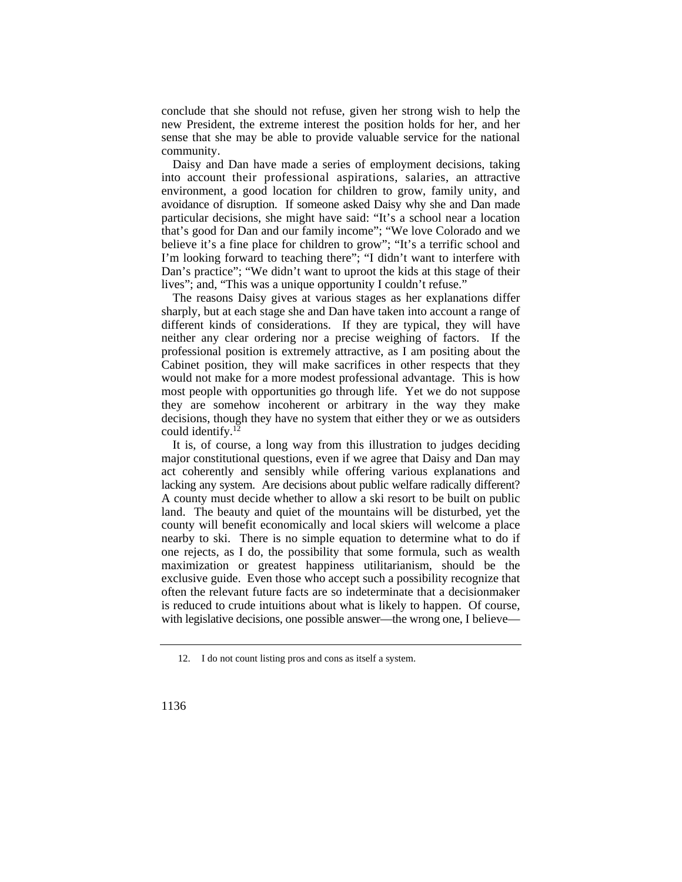conclude that she should not refuse, given her strong wish to help the new President, the extreme interest the position holds for her, and her sense that she may be able to provide valuable service for the national community.

Daisy and Dan have made a series of employment decisions, taking into account their professional aspirations, salaries, an attractive environment, a good location for children to grow, family unity, and avoidance of disruption. If someone asked Daisy why she and Dan made particular decisions, she might have said: "It's a school near a location that's good for Dan and our family income"; "We love Colorado and we believe it's a fine place for children to grow"; "It's a terrific school and I'm looking forward to teaching there"; "I didn't want to interfere with Dan's practice"; "We didn't want to uproot the kids at this stage of their lives"; and, "This was a unique opportunity I couldn't refuse."

The reasons Daisy gives at various stages as her explanations differ sharply, but at each stage she and Dan have taken into account a range of different kinds of considerations. If they are typical, they will have neither any clear ordering nor a precise weighing of factors. If the professional position is extremely attractive, as I am positing about the Cabinet position, they will make sacrifices in other respects that they would not make for a more modest professional advantage. This is how most people with opportunities go through life. Yet we do not suppose they are somehow incoherent or arbitrary in the way they make decisions, though they have no system that either they or we as outsiders could [identify.12](https://identify.12)

 lacking any system. Are decisions about public welfare radically different? It is, of course, a long way from this illustration to judges deciding major constitutional questions, even if we agree that Daisy and Dan may act coherently and sensibly while offering various explanations and A county must decide whether to allow a ski resort to be built on public land. The beauty and quiet of the mountains will be disturbed, yet the county will benefit economically and local skiers will welcome a place nearby to ski. There is no simple equation to determine what to do if one rejects, as I do, the possibility that some formula, such as wealth maximization or greatest happiness utilitarianism, should be the exclusive guide. Even those who accept such a possibility recognize that often the relevant future facts are so indeterminate that a decisionmaker is reduced to crude intuitions about what is likely to happen. Of course, with legislative decisions, one possible answer—the wrong one, I believe—

 12. I do not count listing pros and cons as itself a system.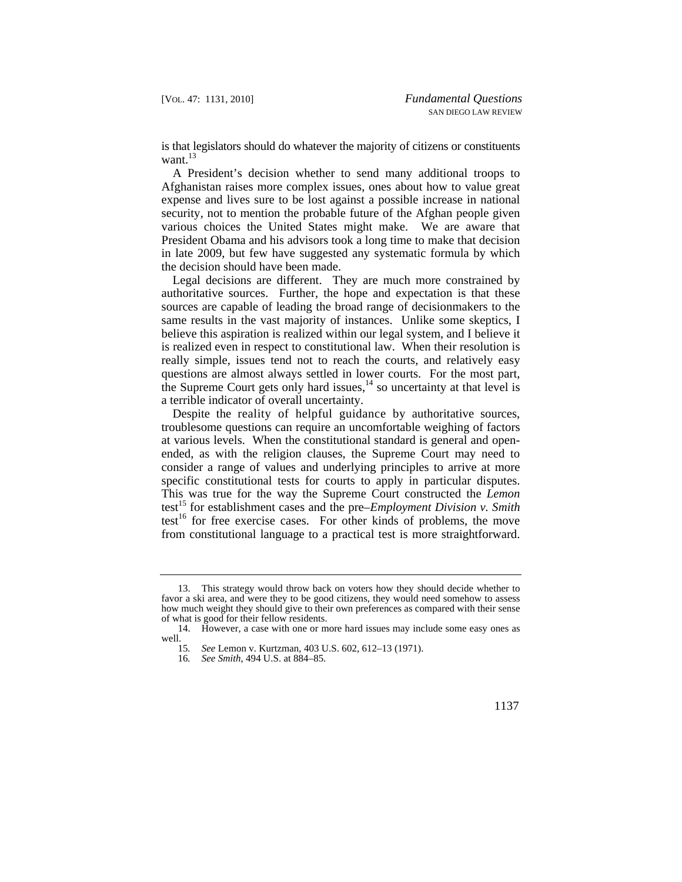is that legislators should do whatever the majority of citizens or constituents want. $^{13}$ 

A President's decision whether to send many additional troops to Afghanistan raises more complex issues, ones about how to value great expense and lives sure to be lost against a possible increase in national security, not to mention the probable future of the Afghan people given various choices the United States might make. We are aware that President Obama and his advisors took a long time to make that decision in late 2009, but few have suggested any systematic formula by which the decision should have been made.

Legal decisions are different. They are much more constrained by authoritative sources. Further, the hope and expectation is that these sources are capable of leading the broad range of decisionmakers to the same results in the vast majority of instances. Unlike some skeptics, I believe this aspiration is realized within our legal system, and I believe it is realized even in respect to constitutional law. When their resolution is really simple, issues tend not to reach the courts, and relatively easy questions are almost always settled in lower courts. For the most part, the Supreme Court gets only hard issues, $14$  so uncertainty at that level is a terrible indicator of overall uncertainty.

 Despite the reality of helpful guidance by authoritative sources, troublesome questions can require an uncomfortable weighing of factors at various levels. When the constitutional standard is general and openended, as with the religion clauses, the Supreme Court may need to consider a range of values and underlying principles to arrive at more specific constitutional tests for courts to apply in particular disputes. This was true for the way the Supreme Court constructed the *Lemon*  test15 for establishment cases and the pre–*Employment Division v. Smith*  test<sup>16</sup> for free exercise cases. For other kinds of problems, the move from constitutional language to a practical test is more straightforward.

<sup>13.</sup> This strategy would throw back on voters how they should decide whether to favor a ski area, and were they to be good citizens, they would need somehow to assess how much weight they should give to their own preferences as compared with their sense of what is good for their fellow residents.

<sup>14.</sup> However, a case with one or more hard issues may include some easy ones as well.

<sup>15</sup>*. See* Lemon v. Kurtzman, 403 U.S. 602, 612–13 (1971).

<sup>16</sup>*. See Smith*, 494 U.S. at 884–85.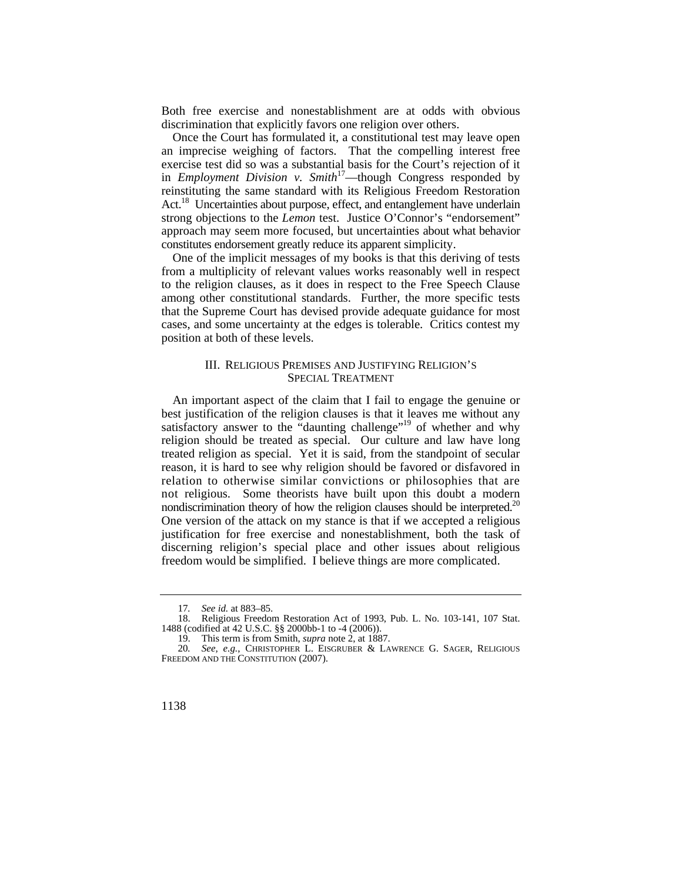Both free exercise and nonestablishment are at odds with obvious discrimination that explicitly favors one religion over others.

 approach may seem more focused, but uncertainties about what behavior Once the Court has formulated it, a constitutional test may leave open an imprecise weighing of factors. That the compelling interest free exercise test did so was a substantial basis for the Court's rejection of it in *Employment Division v. Smith*<sup>17</sup>—though Congress responded by reinstituting the same standard with its Religious Freedom Restoration Act.<sup>18</sup> Uncertainties about purpose, effect, and entanglement have underlain strong objections to the *Lemon* test. Justice O'Connor's "endorsement" constitutes endorsement greatly reduce its apparent simplicity.

One of the implicit messages of my books is that this deriving of tests from a multiplicity of relevant values works reasonably well in respect to the religion clauses, as it does in respect to the Free Speech Clause among other constitutional standards. Further, the more specific tests that the Supreme Court has devised provide adequate guidance for most cases, and some uncertainty at the edges is tolerable. Critics contest my position at both of these levels.

#### III. RELIGIOUS PREMISES AND JUSTIFYING RELIGION'S SPECIAL TREATMENT

nondiscrimination theory of how the religion clauses should be interpreted.<sup>20</sup> An important aspect of the claim that I fail to engage the genuine or best justification of the religion clauses is that it leaves me without any satisfactory answer to the "daunting challenge"<sup>19</sup> of whether and why religion should be treated as special. Our culture and law have long treated religion as special. Yet it is said, from the standpoint of secular reason, it is hard to see why religion should be favored or disfavored in relation to otherwise similar convictions or philosophies that are not religious. Some theorists have built upon this doubt a modern One version of the attack on my stance is that if we accepted a religious justification for free exercise and nonestablishment, both the task of discerning religion's special place and other issues about religious freedom would be simplified. I believe things are more complicated.

<sup>17</sup>*. See id.* at 883–85.

<sup>18.</sup> Religious Freedom Restoration Act of 1993, Pub. L. No. 103-141, 107 Stat. 1488 (codified at 42 U.S.C. §§ 2000bb-1 to -4 (2006)).

<sup>19.</sup> This term is from Smith, *supra* note 2, at 1887.

 20*. See, e.g.*, CHRISTOPHER L. EISGRUBER & LAWRENCE G. SAGER, RELIGIOUS FREEDOM AND THE CONSTITUTION (2007).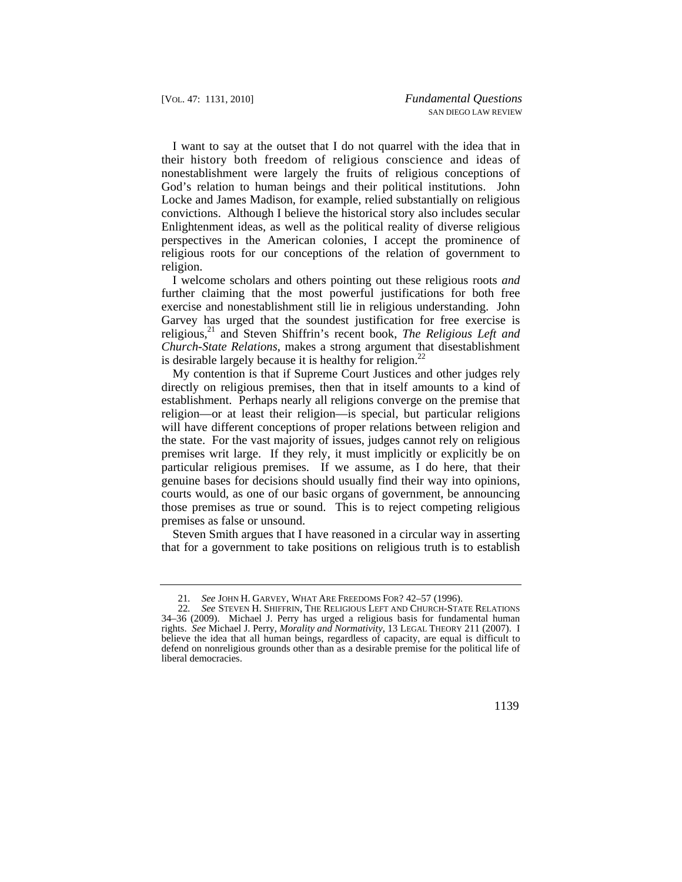I want to say at the outset that I do not quarrel with the idea that in their history both freedom of religious conscience and ideas of nonestablishment were largely the fruits of religious conceptions of God's relation to human beings and their political institutions. John Locke and James Madison, for example, relied substantially on religious convictions. Although I believe the historical story also includes secular Enlightenment ideas, as well as the political reality of diverse religious perspectives in the American colonies, I accept the prominence of religious roots for our conceptions of the relation of government to religion.

I welcome scholars and others pointing out these religious roots *and*  further claiming that the most powerful justifications for both free exercise and nonestablishment still lie in religious understanding. John Garvey has urged that the soundest justification for free exercise is religious,<sup>21</sup> and Steven Shiffrin's recent book, *The Religious Left and Church-State Relations*, makes a strong argument that disestablishment is desirable largely because it is healthy for religion.<sup>22</sup>

My contention is that if Supreme Court Justices and other judges rely directly on religious premises, then that in itself amounts to a kind of establishment. Perhaps nearly all religions converge on the premise that religion—or at least their religion—is special, but particular religions will have different conceptions of proper relations between religion and the state. For the vast majority of issues, judges cannot rely on religious premises writ large. If they rely, it must implicitly or explicitly be on particular religious premises. If we assume, as I do here, that their genuine bases for decisions should usually find their way into opinions, courts would, as one of our basic organs of government, be announcing those premises as true or sound. This is to reject competing religious premises as false or unsound.

Steven Smith argues that I have reasoned in a circular way in asserting that for a government to take positions on religious truth is to establish

<sup>21</sup>*. See* JOHN H. GARVEY, WHAT ARE FREEDOMS FOR? 42–57 (1996).

 22*. See* STEVEN H. SHIFFRIN, THE RELIGIOUS LEFT AND CHURCH-STATE RELATIONS 34–36 (2009). Michael J. Perry has urged a religious basis for fundamental human rights. *See* Michael J. Perry, *Morality and Normativity*, 13 LEGAL THEORY 211 (2007). I believe the idea that all human beings, regardless of capacity, are equal is difficult to defend on nonreligious grounds other than as a desirable premise for the political life of liberal democracies.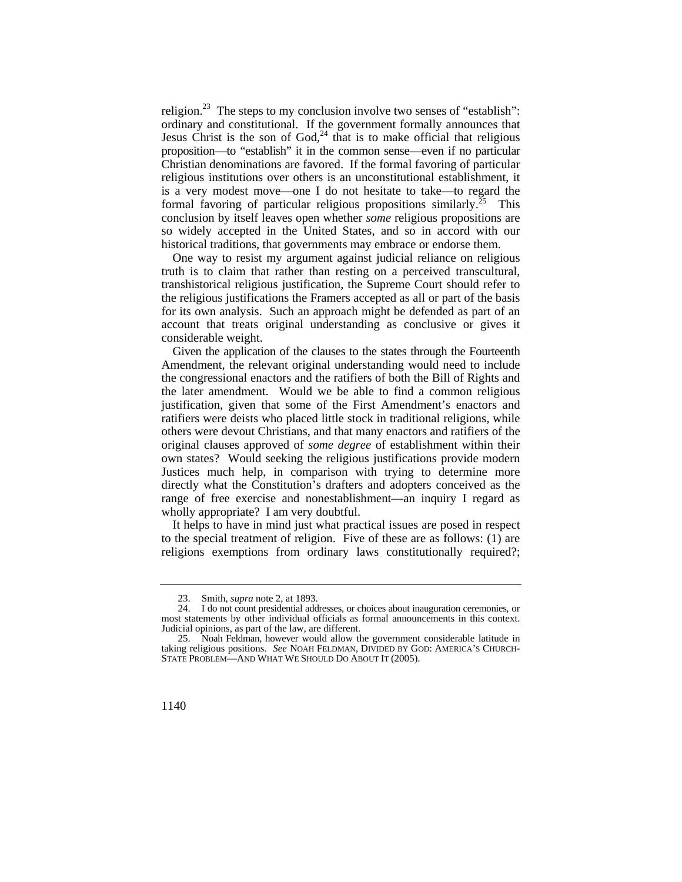proposition—to "establish" it in the common sense—even if no particular religion.<sup>23</sup> The steps to my conclusion involve two senses of "establish": ordinary and constitutional. If the government formally announces that Jesus Christ is the son of  $God<sub>1</sub><sup>24</sup>$  that is to make official that religious Christian denominations are favored. If the formal favoring of particular religious institutions over others is an unconstitutional establishment, it is a very modest move—one I do not hesitate to take—to regard the formal favoring of particular religious propositions [similarly.25](https://similarly.25) This conclusion by itself leaves open whether *some* religious propositions are so widely accepted in the United States, and so in accord with our historical traditions, that governments may embrace or endorse them.

One way to resist my argument against judicial reliance on religious truth is to claim that rather than resting on a perceived transcultural, transhistorical religious justification, the Supreme Court should refer to the religious justifications the Framers accepted as all or part of the basis for its own analysis. Such an approach might be defended as part of an account that treats original understanding as conclusive or gives it considerable weight.

 own states? Would seeking the religious justifications provide modern wholly appropriate? I am very doubtful. Given the application of the clauses to the states through the Fourteenth Amendment, the relevant original understanding would need to include the congressional enactors and the ratifiers of both the Bill of Rights and the later amendment. Would we be able to find a common religious justification, given that some of the First Amendment's enactors and ratifiers were deists who placed little stock in traditional religions, while others were devout Christians, and that many enactors and ratifiers of the original clauses approved of *some degree* of establishment within their Justices much help, in comparison with trying to determine more directly what the Constitution's drafters and adopters conceived as the range of free exercise and nonestablishment—an inquiry I regard as

 religions exemptions from ordinary laws constitutionally required?; It helps to have in mind just what practical issues are posed in respect to the special treatment of religion. Five of these are as follows: (1) are

 <sup>23.</sup> Smith, *supra* note 2, at 1893.

<sup>24.</sup> I do not count presidential addresses, or choices about inauguration ceremonies, or most statements by other individual officials as formal announcements in this context. Judicial opinions, as part of the law, are different.

 25. Noah Feldman, however would allow the government considerable latitude in taking religious positions. *See* NOAH FELDMAN, DIVIDED BY GOD: AMERICA'S CHURCH-STATE PROBLEM—AND WHAT WE SHOULD DO ABOUT IT (2005).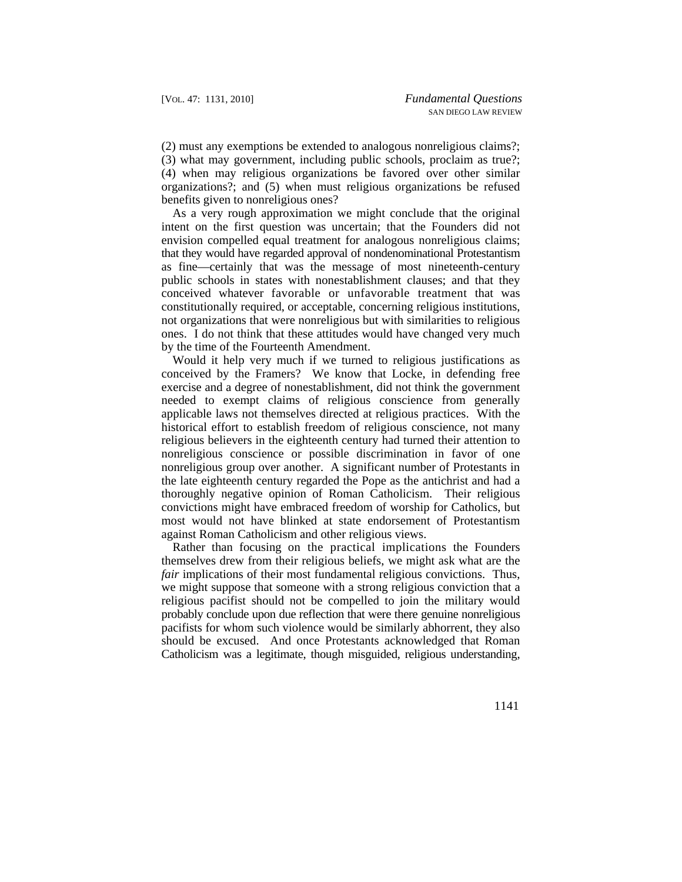(2) must any exemptions be extended to analogous nonreligious claims?; (3) what may government, including public schools, proclaim as true?; (4) when may religious organizations be favored over other similar organizations?; and (5) when must religious organizations be refused benefits given to nonreligious ones?

 conceived whatever favorable or unfavorable treatment that was As a very rough approximation we might conclude that the original intent on the first question was uncertain; that the Founders did not envision compelled equal treatment for analogous nonreligious claims; that they would have regarded approval of nondenominational Protestantism as fine—certainly that was the message of most nineteenth-century public schools in states with nonestablishment clauses; and that they constitutionally required, or acceptable, concerning religious institutions, not organizations that were nonreligious but with similarities to religious ones. I do not think that these attitudes would have changed very much by the time of the Fourteenth Amendment.

Would it help very much if we turned to religious justifications as conceived by the Framers? We know that Locke, in defending free exercise and a degree of nonestablishment, did not think the government needed to exempt claims of religious conscience from generally applicable laws not themselves directed at religious practices. With the historical effort to establish freedom of religious conscience, not many religious believers in the eighteenth century had turned their attention to nonreligious conscience or possible discrimination in favor of one nonreligious group over another. A significant number of Protestants in the late eighteenth century regarded the Pope as the antichrist and had a thoroughly negative opinion of Roman Catholicism. Their religious convictions might have embraced freedom of worship for Catholics, but most would not have blinked at state endorsement of Protestantism against Roman Catholicism and other religious views.

 Rather than focusing on the practical implications the Founders themselves drew from their religious beliefs, we might ask what are the *fair* implications of their most fundamental religious convictions. Thus, we might suppose that someone with a strong religious conviction that a religious pacifist should not be compelled to join the military would probably conclude upon due reflection that were there genuine nonreligious pacifists for whom such violence would be similarly abhorrent, they also should be excused. And once Protestants acknowledged that Roman Catholicism was a legitimate, though misguided, religious understanding,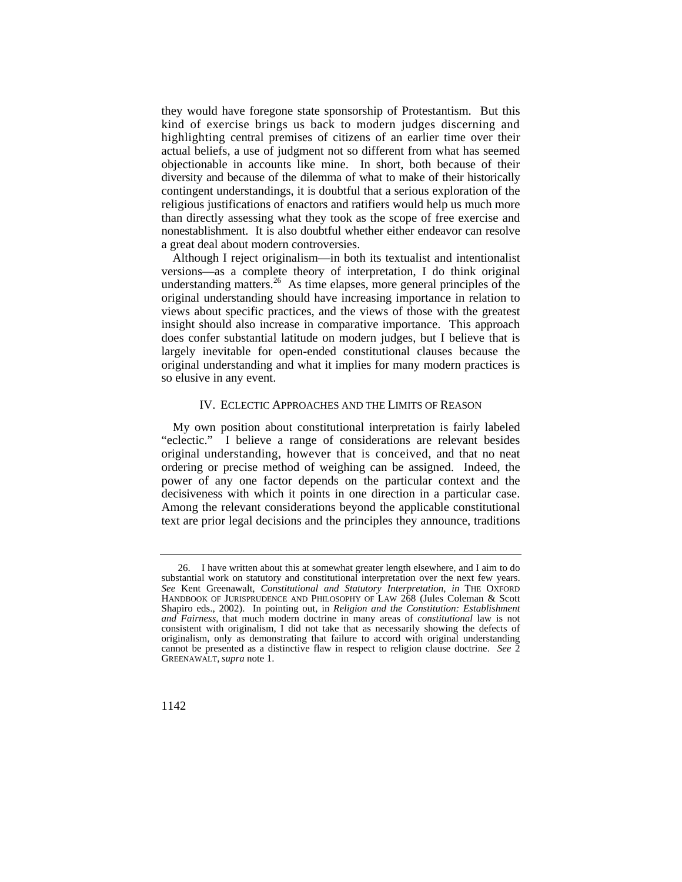they would have foregone state sponsorship of Protestantism. But this kind of exercise brings us back to modern judges discerning and highlighting central premises of citizens of an earlier time over their actual beliefs, a use of judgment not so different from what has seemed objectionable in accounts like mine. In short, both because of their diversity and because of the dilemma of what to make of their historically contingent understandings, it is doubtful that a serious exploration of the religious justifications of enactors and ratifiers would help us much more than directly assessing what they took as the scope of free exercise and nonestablishment. It is also doubtful whether either endeavor can resolve a great deal about modern controversies.

Although I reject originalism—in both its textualist and intentionalist versions—as a complete theory of interpretation, I do think original understanding [matters.](https://matters.26) $^{26}$  As time elapses, more general principles of the original understanding should have increasing importance in relation to views about specific practices, and the views of those with the greatest insight should also increase in comparative importance. This approach does confer substantial latitude on modern judges, but I believe that is largely inevitable for open-ended constitutional clauses because the original understanding and what it implies for many modern practices is so elusive in any event.

#### IV. ECLECTIC APPROACHES AND THE LIMITS OF REASON

decisiveness with which it points in one direction in a particular case. My own position about constitutional interpretation is fairly labeled "eclectic." I believe a range of considerations are relevant besides original understanding, however that is conceived, and that no neat ordering or precise method of weighing can be assigned. Indeed, the power of any one factor depends on the particular context and the Among the relevant considerations beyond the applicable constitutional text are prior legal decisions and the principles they announce, traditions

substantial work on statutory and constitutional interpretation over the next few years. 26. I have written about this at somewhat greater length elsewhere, and I aim to do See Kent Greenawalt, *Constitutional and Statutory Interpretation*, *in* THE OXFORD HANDBOOK OF JURISPRUDENCE AND PHILOSOPHY OF LAW 268 (Jules Coleman & Scott Shapiro eds., 2002). In pointing out, in *Religion and the Constitution: Establishment and Fairness*, that much modern doctrine in many areas of *constitutional* law is not consistent with originalism, I did not take that as necessarily showing the defects of originalism, only as demonstrating that failure to accord with original understanding cannot be presented as a distinctive flaw in respect to religion clause doctrine. *See* 2 GREENAWALT*, supra* note 1.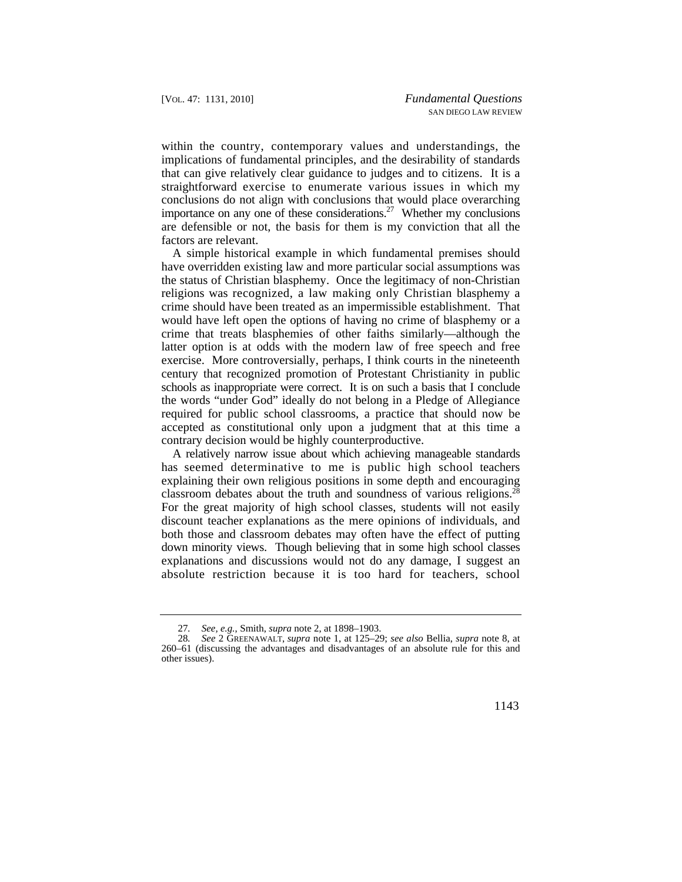within the country, contemporary values and understandings, the implications of fundamental principles, and the desirability of standards that can give relatively clear guidance to judges and to citizens. It is a straightforward exercise to enumerate various issues in which my conclusions do not align with conclusions that would place overarching importance on any one of these considerations.<sup>27</sup> Whether my conclusions are defensible or not, the basis for them is my conviction that all the factors are relevant.

 religions was recognized, a law making only Christian blasphemy a A simple historical example in which fundamental premises should have overridden existing law and more particular social assumptions was the status of Christian blasphemy. Once the legitimacy of non-Christian crime should have been treated as an impermissible establishment. That would have left open the options of having no crime of blasphemy or a crime that treats blasphemies of other faiths similarly—although the latter option is at odds with the modern law of free speech and free exercise. More controversially, perhaps, I think courts in the nineteenth century that recognized promotion of Protestant Christianity in public schools as inappropriate were correct. It is on such a basis that I conclude the words "under God" ideally do not belong in a Pledge of Allegiance required for public school classrooms, a practice that should now be accepted as constitutional only upon a judgment that at this time a contrary decision would be highly counterproductive.

 has seemed determinative to me is public high school teachers classroom debates about the truth and soundness of various religions.<sup>28</sup> A relatively narrow issue about which achieving manageable standards explaining their own religious positions in some depth and encouraging For the great majority of high school classes, students will not easily discount teacher explanations as the mere opinions of individuals, and both those and classroom debates may often have the effect of putting down minority views. Though believing that in some high school classes explanations and discussions would not do any damage, I suggest an absolute restriction because it is too hard for teachers, school

<sup>27</sup>*. See, e.g.*, Smith, *supra* note 2, at 1898–1903.

<sup>28</sup>*. See* 2 GREENAWALT, *supra* note 1, at 125–29; *see also* Bellia, *supra* note 8, at 260–61 (discussing the advantages and disadvantages of an absolute rule for this and other issues).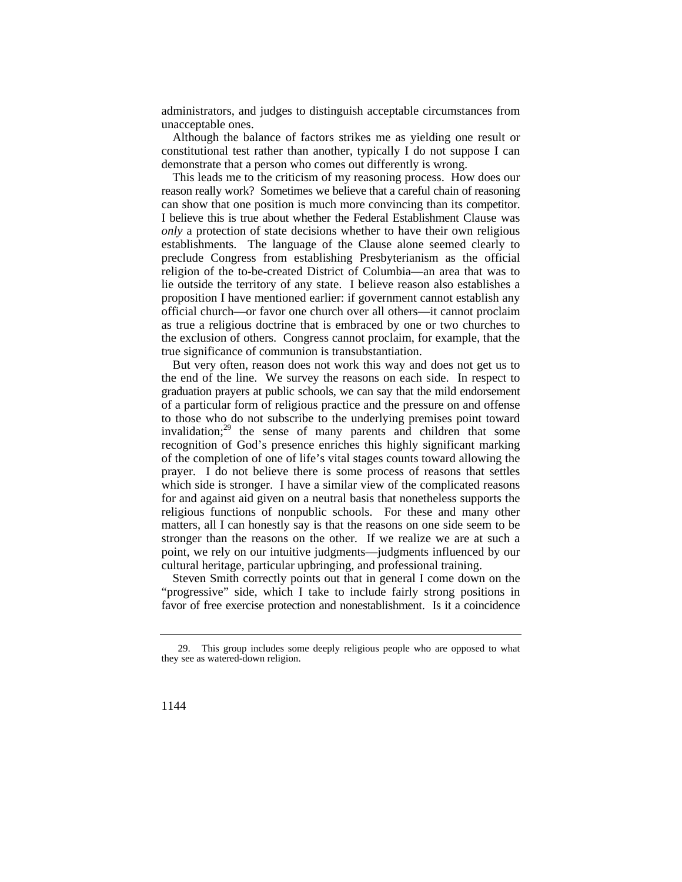administrators, and judges to distinguish acceptable circumstances from unacceptable ones.

 demonstrate that a person who comes out differently is wrong. Although the balance of factors strikes me as yielding one result or constitutional test rather than another, typically I do not suppose I can

 can show that one position is much more convincing than its competitor. I believe this is true about whether the Federal Establishment Clause was This leads me to the criticism of my reasoning process. How does our reason really work? Sometimes we believe that a careful chain of reasoning *only* a protection of state decisions whether to have their own religious establishments. The language of the Clause alone seemed clearly to preclude Congress from establishing Presbyterianism as the official religion of the to-be-created District of Columbia—an area that was to lie outside the territory of any state. I believe reason also establishes a proposition I have mentioned earlier: if government cannot establish any official church—or favor one church over all others—it cannot proclaim as true a religious doctrine that is embraced by one or two churches to the exclusion of others. Congress cannot proclaim, for example, that the true significance of communion is transubstantiation.

 graduation prayers at public schools, we can say that the mild endorsement But very often, reason does not work this way and does not get us to the end of the line. We survey the reasons on each side. In respect to of a particular form of religious practice and the pressure on and offense to those who do not subscribe to the underlying premises point toward invalidation; $^{29}$  the sense of many parents and children that some recognition of God's presence enriches this highly significant marking of the completion of one of life's vital stages counts toward allowing the prayer. I do not believe there is some process of reasons that settles which side is stronger. I have a similar view of the complicated reasons for and against aid given on a neutral basis that nonetheless supports the religious functions of nonpublic schools. For these and many other matters, all I can honestly say is that the reasons on one side seem to be stronger than the reasons on the other. If we realize we are at such a point, we rely on our intuitive judgments—judgments influenced by our cultural heritage, particular upbringing, and professional training.

Steven Smith correctly points out that in general I come down on the "progressive" side, which I take to include fairly strong positions in favor of free exercise protection and nonestablishment. Is it a coincidence

<sup>29.</sup> This group includes some deeply religious people who are opposed to what they see as watered-down religion.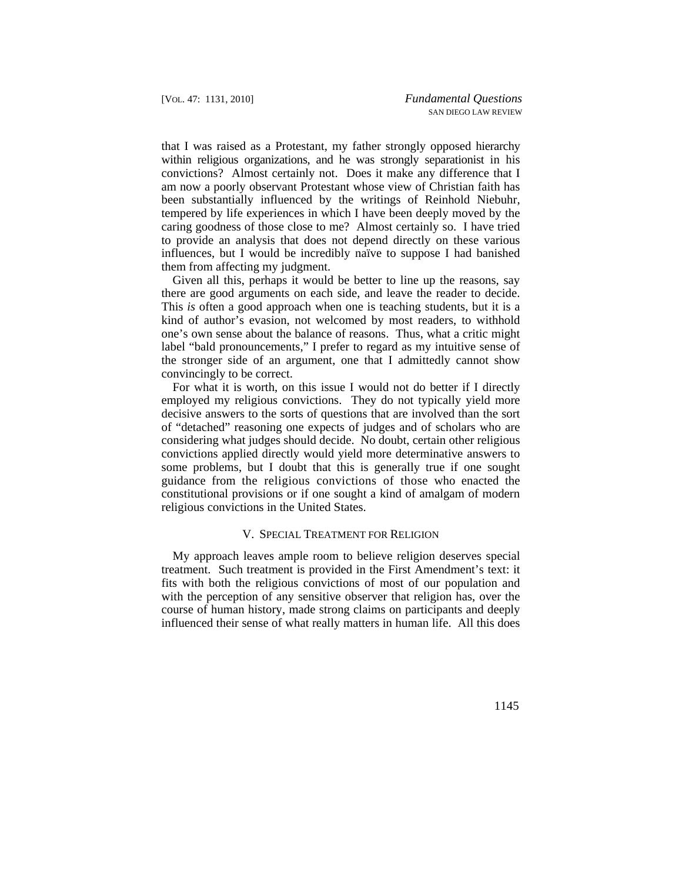within religious organizations, and he was strongly separationist in his that I was raised as a Protestant, my father strongly opposed hierarchy convictions? Almost certainly not. Does it make any difference that I am now a poorly observant Protestant whose view of Christian faith has been substantially influenced by the writings of Reinhold Niebuhr, tempered by life experiences in which I have been deeply moved by the caring goodness of those close to me? Almost certainly so. I have tried to provide an analysis that does not depend directly on these various influences, but I would be incredibly naïve to suppose I had banished them from affecting my judgment.

there are good arguments on each side, and leave the reader to decide. Given all this, perhaps it would be better to line up the reasons, say This *is* often a good approach when one is teaching students, but it is a kind of author's evasion, not welcomed by most readers, to withhold one's own sense about the balance of reasons. Thus, what a critic might label "bald pronouncements," I prefer to regard as my intuitive sense of the stronger side of an argument, one that I admittedly cannot show convincingly to be correct.

For what it is worth, on this issue I would not do better if I directly employed my religious convictions. They do not typically yield more decisive answers to the sorts of questions that are involved than the sort of "detached" reasoning one expects of judges and of scholars who are considering what judges should decide. No doubt, certain other religious convictions applied directly would yield more determinative answers to some problems, but I doubt that this is generally true if one sought guidance from the religious convictions of those who enacted the constitutional provisions or if one sought a kind of amalgam of modern religious convictions in the United States.

#### V. SPECIAL TREATMENT FOR RELIGION

My approach leaves ample room to believe religion deserves special treatment. Such treatment is provided in the First Amendment's text: it fits with both the religious convictions of most of our population and with the perception of any sensitive observer that religion has, over the course of human history, made strong claims on participants and deeply influenced their sense of what really matters in human life. All this does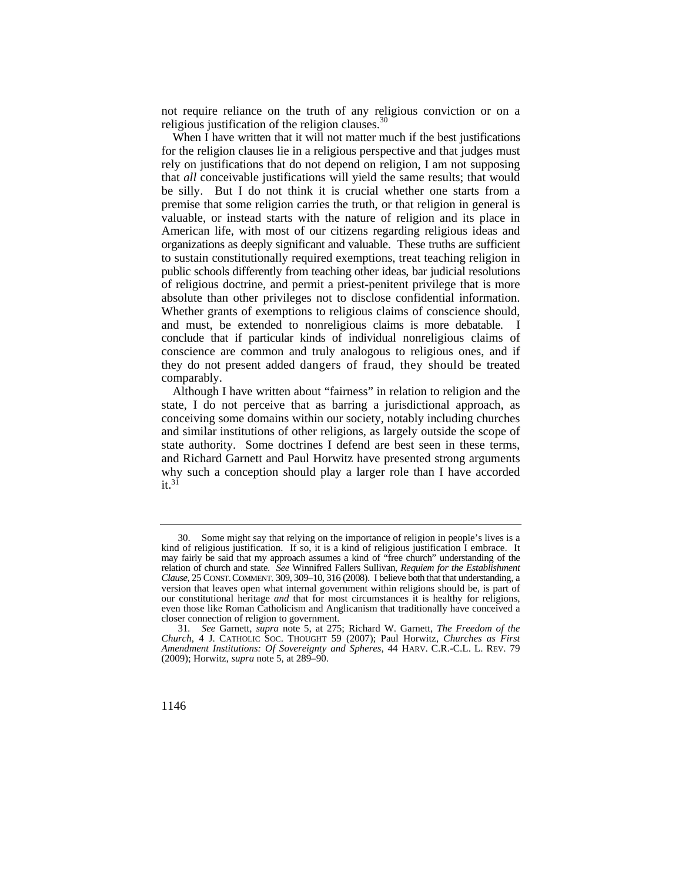not require reliance on the truth of any religious conviction or on a religious justification of the religion clauses.<sup>30</sup>

 and must, be extended to nonreligious claims is more debatable. I they do not present added dangers of fraud, they should be treated When I have written that it will not matter much if the best justifications for the religion clauses lie in a religious perspective and that judges must rely on justifications that do not depend on religion, I am not supposing that *all* conceivable justifications will yield the same results; that would be silly. But I do not think it is crucial whether one starts from a premise that some religion carries the truth, or that religion in general is valuable, or instead starts with the nature of religion and its place in American life, with most of our citizens regarding religious ideas and organizations as deeply significant and valuable. These truths are sufficient to sustain constitutionally required exemptions, treat teaching religion in public schools differently from teaching other ideas, bar judicial resolutions of religious doctrine, and permit a priest-penitent privilege that is more absolute than other privileges not to disclose confidential information. Whether grants of exemptions to religious claims of conscience should, conclude that if particular kinds of individual nonreligious claims of conscience are common and truly analogous to religious ones, and if comparably.

 state authority. Some doctrines I defend are best seen in these terms, Although I have written about "fairness" in relation to religion and the state, I do not perceive that as barring a jurisdictional approach, as conceiving some domains within our society, notably including churches and similar institutions of other religions, as largely outside the scope of and Richard Garnett and Paul Horwitz have presented strong arguments why such a conception should play a larger role than I have accorded  $it<sup>31</sup>$ 

 relation of church and state. *See* Winnifred Fallers Sullivan, *Requiem for the Establishment*  30. Some might say that relying on the importance of religion in people's lives is a kind of religious justification. If so, it is a kind of religious justification I embrace. It may fairly be said that my approach assumes a kind of "free church" understanding of the *Clause*, 25 CONST. COMMENT. 309, 309–10, 316 (2008). I believe both that that understanding, a version that leaves open what internal government within religions should be, is part of our constitutional heritage *and* that for most circumstances it is healthy for religions, even those like Roman Catholicism and Anglicanism that traditionally have conceived a closer connection of religion to government.

 *Amendment Institutions: Of Sovereignty and Spheres*, 44 HARV. C.R.-C.L. L. REV. 79 31*. See* Garnett, *supra* note 5, at 275; Richard W. Garnett, *The Freedom of the Church*, 4 J. CATHOLIC SOC. THOUGHT 59 (2007); Paul Horwitz, *Churches as First*  (2009); Horwitz, *supra* note 5, at 289–90.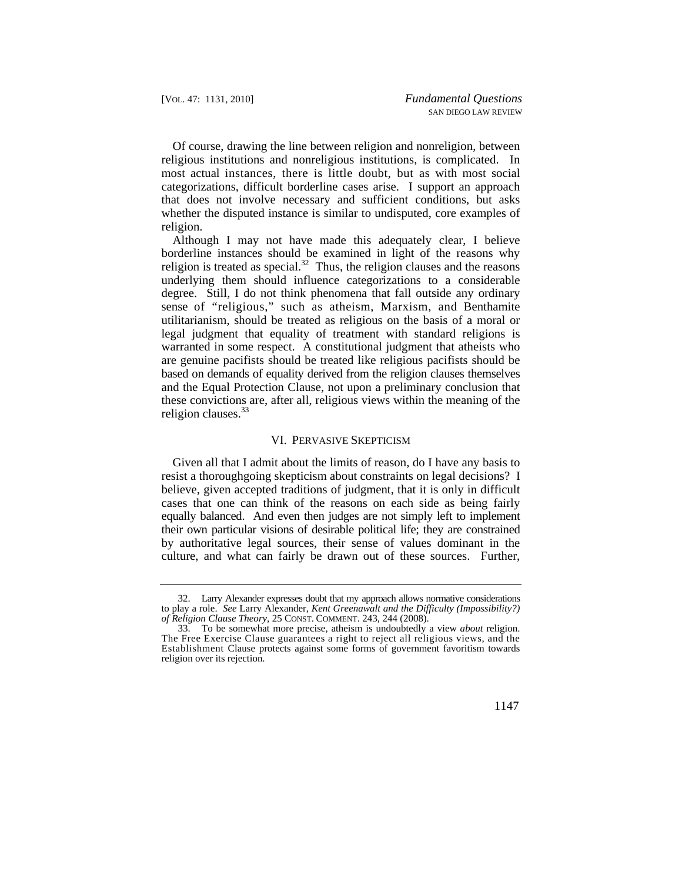most actual instances, there is little doubt, but as with most social Of course, drawing the line between religion and nonreligion, between religious institutions and nonreligious institutions, is complicated. In categorizations, difficult borderline cases arise. I support an approach that does not involve necessary and sufficient conditions, but asks whether the disputed instance is similar to undisputed, core examples of religion.

Although I may not have made this adequately clear, I believe borderline instances should be examined in light of the reasons why religion is treated as [special.](https://special.32)<sup>32</sup> Thus, the religion clauses and the reasons underlying them should influence categorizations to a considerable degree. Still, I do not think phenomena that fall outside any ordinary sense of "religious," such as atheism, Marxism, and Benthamite utilitarianism, should be treated as religious on the basis of a moral or legal judgment that equality of treatment with standard religions is warranted in some respect. A constitutional judgment that atheists who are genuine pacifists should be treated like religious pacifists should be based on demands of equality derived from the religion clauses themselves and the Equal Protection Clause, not upon a preliminary conclusion that these convictions are, after all, religious views within the meaning of the religion [clauses.](https://clauses.33) $33$ 

#### VI. PERVASIVE SKEPTICISM

Given all that I admit about the limits of reason, do I have any basis to resist a thoroughgoing skepticism about constraints on legal decisions? I believe, given accepted traditions of judgment, that it is only in difficult cases that one can think of the reasons on each side as being fairly equally balanced. And even then judges are not simply left to implement their own particular visions of desirable political life; they are constrained by authoritative legal sources, their sense of values dominant in the culture, and what can fairly be drawn out of these sources. Further,

<sup>32.</sup> Larry Alexander expresses doubt that my approach allows normative considerations to play a role. *See* Larry Alexander, *Kent Greenawalt and the Difficulty (Impossibility?) of Religion Clause Theory*, 25 CONST. COMMENT. 243, 244 (2008).

<sup>33.</sup> To be somewhat more precise, atheism is undoubtedly a view *about* religion. The Free Exercise Clause guarantees a right to reject all religious views, and the Establishment Clause protects against some forms of government favoritism towards religion over its rejection.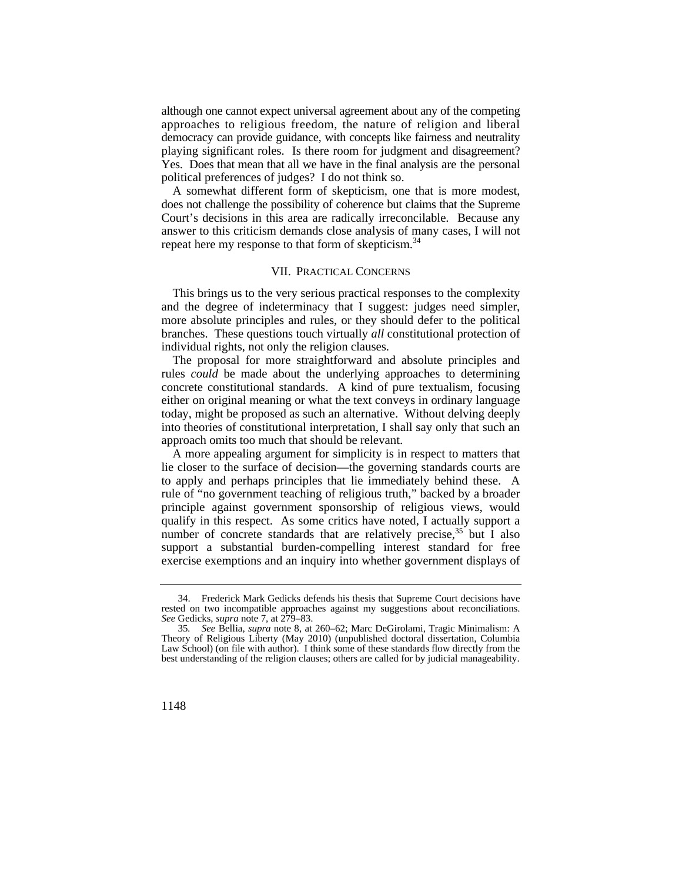playing significant roles. Is there room for judgment and disagreement? playing significant roles. Is there room for judgment and disagreement? Yes. Does that mean that all we have in the final analysis are the personal although one cannot expect universal agreement about any of the competing approaches to religious freedom, the nature of religion and liberal democracy can provide guidance, with concepts like fairness and neutrality political preferences of judges? I do not think so.

A somewhat different form of skepticism, one that is more modest, does not challenge the possibility of coherence but claims that the Supreme Court's decisions in this area are radically irreconcilable. Because any answer to this criticism demands close analysis of many cases, I will not repeat here my response to that form of [skepticism.](https://skepticism.34)<sup>34</sup>

#### VII. PRACTICAL CONCERNS

This brings us to the very serious practical responses to the complexity and the degree of indeterminacy that I suggest: judges need simpler, more absolute principles and rules, or they should defer to the political branches. These questions touch virtually *all* constitutional protection of individual rights, not only the religion clauses.

The proposal for more straightforward and absolute principles and rules *could* be made about the underlying approaches to determining concrete constitutional standards. A kind of pure textualism, focusing either on original meaning or what the text conveys in ordinary language today, might be proposed as such an alternative. Without delving deeply into theories of constitutional interpretation, I shall say only that such an approach omits too much that should be relevant.

A more appealing argument for simplicity is in respect to matters that lie closer to the surface of decision—the governing standards courts are to apply and perhaps principles that lie immediately behind these. A rule of "no government teaching of religious truth," backed by a broader principle against government sponsorship of religious views, would qualify in this respect. As some critics have noted, I actually support a number of concrete standards that are relatively precise,  $35$  but I also support a substantial burden-compelling interest standard for free exercise exemptions and an inquiry into whether government displays of

<sup>34.</sup> Frederick Mark Gedicks defends his thesis that Supreme Court decisions have rested on two incompatible approaches against my suggestions about reconciliations. *See* Gedicks, *supra* note 7, at 279–83.

<sup>35</sup>*. See* Bellia, *supra* note 8, at 260–62; Marc DeGirolami, Tragic Minimalism: A Theory of Religious Liberty (May 2010) (unpublished doctoral dissertation, Columbia Law School) (on file with author). I think some of these standards flow directly from the best understanding of the religion clauses; others are called for by judicial manageability.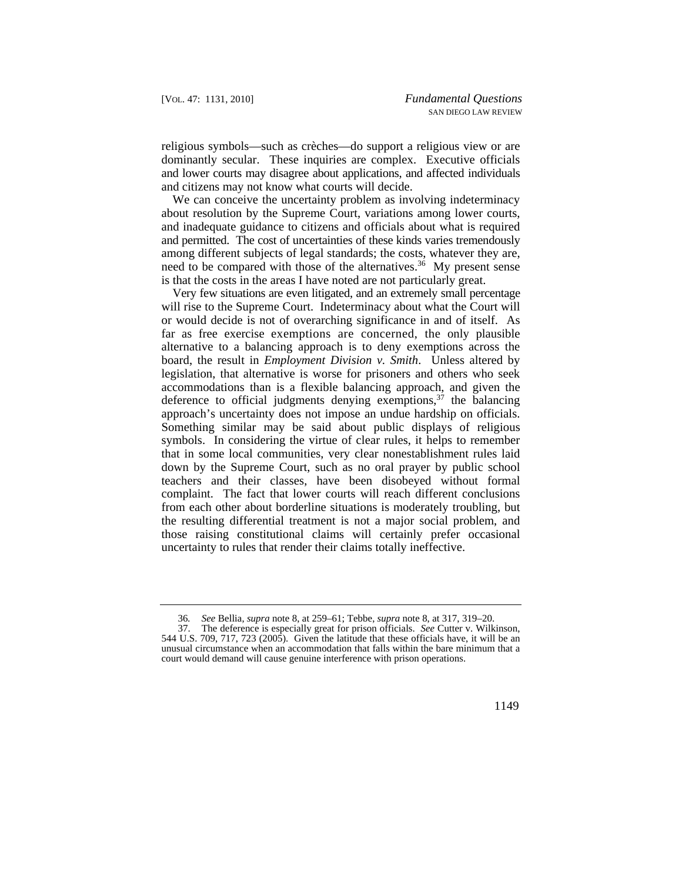religious symbols—such as crèches—do support a religious view or are dominantly secular. These inquiries are complex. Executive officials and lower courts may disagree about applications, and affected individuals and citizens may not know what courts will decide.

We can conceive the uncertainty problem as involving indeterminacy about resolution by the Supreme Court, variations among lower courts, and inadequate guidance to citizens and officials about what is required and permitted. The cost of uncertainties of these kinds varies tremendously among different subjects of legal standards; the costs, whatever they are, need to be compared with those of the alternatives.<sup>36</sup> My present sense is that the costs in the areas I have noted are not particularly great.

 far as free exercise exemptions are concerned, the only plausible Very few situations are even litigated, and an extremely small percentage will rise to the Supreme Court. Indeterminacy about what the Court will or would decide is not of overarching significance in and of itself. As alternative to a balancing approach is to deny exemptions across the board, the result in *Employment Division v. Smith*. Unless altered by legislation, that alternative is worse for prisoners and others who seek accommodations than is a flexible balancing approach, and given the deference to official judgments denying exemptions,  $37$  the balancing approach's uncertainty does not impose an undue hardship on officials. Something similar may be said about public displays of religious symbols. In considering the virtue of clear rules, it helps to remember that in some local communities, very clear nonestablishment rules laid down by the Supreme Court, such as no oral prayer by public school teachers and their classes, have been disobeyed without formal complaint. The fact that lower courts will reach different conclusions from each other about borderline situations is moderately troubling, but the resulting differential treatment is not a major social problem, and those raising constitutional claims will certainly prefer occasional uncertainty to rules that render their claims totally ineffective.

<sup>36</sup>*. See* Bellia, *supra* note 8, at 259–61; Tebbe, *supra* note 8, at 317, 319–20.

<sup>37.</sup> The deference is especially great for prison officials. *See* Cutter v. Wilkinson, 544 U.S. 709, 717, 723 (2005). Given the latitude that these officials have, it will be an unusual circumstance when an accommodation that falls within the bare minimum that a court would demand will cause genuine interference with prison operations.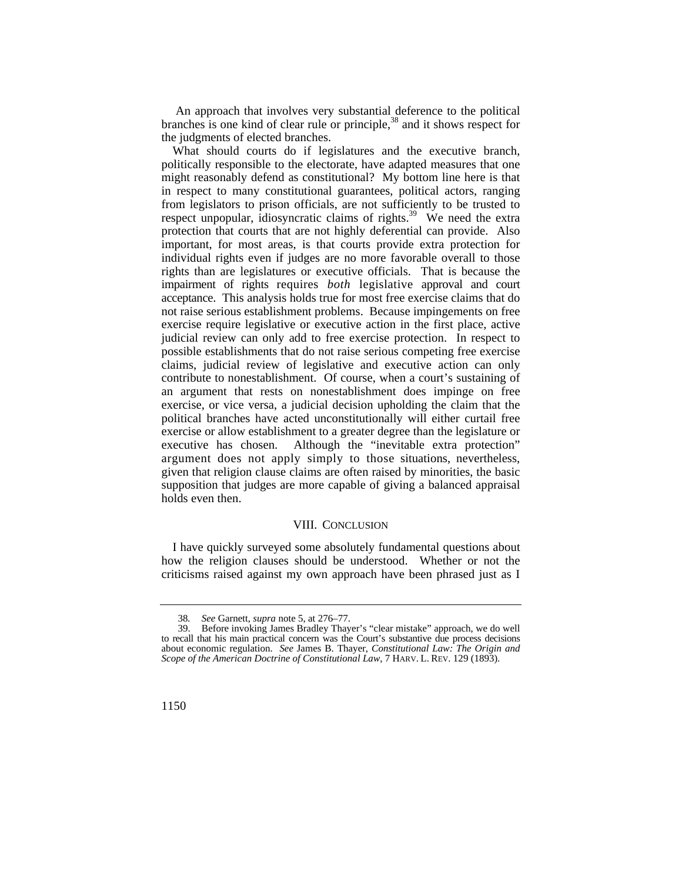An approach that involves very substantial deference to the political branches is one kind of clear rule or principle,<sup>38</sup> and it shows respect for the judgments of elected branches.

 acceptance. This analysis holds true for most free exercise claims that do What should courts do if legislatures and the executive branch, politically responsible to the electorate, have adapted measures that one might reasonably defend as constitutional? My bottom line here is that in respect to many constitutional guarantees, political actors, ranging from legislators to prison officials, are not sufficiently to be trusted to respect unpopular, idiosyncratic claims of rights.<sup>39</sup> We need the extra protection that courts that are not highly deferential can provide. Also important, for most areas, is that courts provide extra protection for individual rights even if judges are no more favorable overall to those rights than are legislatures or executive officials. That is because the impairment of rights requires *both* legislative approval and court not raise serious establishment problems. Because impingements on free exercise require legislative or executive action in the first place, active judicial review can only add to free exercise protection. In respect to possible establishments that do not raise serious competing free exercise claims, judicial review of legislative and executive action can only contribute to nonestablishment. Of course, when a court's sustaining of an argument that rests on nonestablishment does impinge on free exercise, or vice versa, a judicial decision upholding the claim that the political branches have acted unconstitutionally will either curtail free exercise or allow establishment to a greater degree than the legislature or executive has chosen. Although the "inevitable extra protection" argument does not apply simply to those situations, nevertheless, given that religion clause claims are often raised by minorities, the basic supposition that judges are more capable of giving a balanced appraisal holds even then.

#### VIII. CONCLUSION

 how the religion clauses should be understood. Whether or not the I have quickly surveyed some absolutely fundamental questions about criticisms raised against my own approach have been phrased just as I

<sup>38</sup>*. See* Garnett, *supra* note 5, at 276–77.

 *Scope of the American Doctrine of Constitutional Law*, 7 HARV. L. REV. 129 (1893). Before invoking James Bradley Thayer's "clear mistake" approach, we do well to recall that his main practical concern was the Court's substantive due process decisions about economic regulation. *See* James B. Thayer, *Constitutional Law: The Origin and*